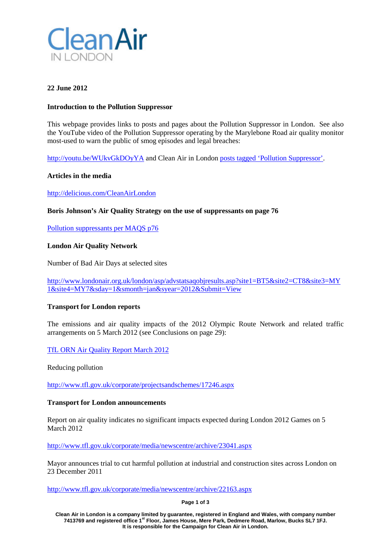

# **22 June 2012**

## **Introduction to the Pollution Suppressor**

This webpage provides links to posts and pages about the Pollution Suppressor in London. See also the YouTube video of the Pollution Suppressor operating by the Marylebone Road air quality monitor most-used to warn the public of smog episodes and legal breaches:

<http://youtu.be/WUkvGkDOyYA> and Clean Air in London [posts tagged 'Pollution Suppressor'.](http://cleanairinlondon.org/tag/pollution-suppressor/)

## **Articles in the media**

<http://delicious.com/CleanAirLondon>

## **Boris Johnson's Air Quality Strategy on the use of suppressants on page 76**

[Pollution suppressants per MAQS p76](http://cleanairinlondon.org/wp-content/uploads/CAL-175-Final-050412_Dust-suppressants-per-MAQS-p76.pdf)

## **London Air Quality Network**

Number of Bad Air Days at selected sites

[http://www.londonair.org.uk/london/asp/advstatsaqobjresults.asp?site1=BT5&site2=CT8&site3=MY](http://www.londonair.org.uk/london/asp/advstatsaqobjresults.asp?site1=BT5&site2=CT8&site3=MY1&site4=MY7&sday=1&smonth=jan&syear=2012&Submit=View) [1&site4=MY7&sday=1&smonth=jan&syear=2012&Submit=View](http://www.londonair.org.uk/london/asp/advstatsaqobjresults.asp?site1=BT5&site2=CT8&site3=MY1&site4=MY7&sday=1&smonth=jan&syear=2012&Submit=View)

## **Transport for London reports**

The emissions and air quality impacts of the 2012 Olympic Route Network and related traffic arrangements on 5 March 2012 (see Conclusions on page 29):

[TfL ORN Air Quality Report March 2012](http://cleanairinlondon.org/wp-content/uploads/CAL-166-TfL-ORN-air-quality-report-March-2012.pdf)

Reducing pollution

<http://www.tfl.gov.uk/corporate/projectsandschemes/17246.aspx>

## **Transport for London announcements**

Report on air quality indicates no significant impacts expected during London 2012 Games on 5 March 2012

<http://www.tfl.gov.uk/corporate/media/newscentre/archive/23041.aspx>

Mayor announces trial to cut harmful pollution at industrial and construction sites across London on 23 December 2011

<http://www.tfl.gov.uk/corporate/media/newscentre/archive/22163.aspx>

**Page 1 of 3**

**Clean Air in London is a company limited by guarantee, registered in England and Wales, with company number 7413769 and registered office 1st Floor, James House, Mere Park, Dedmere Road, Marlow, Bucks SL7 1FJ. It is responsible for the Campaign for Clean Air in London.**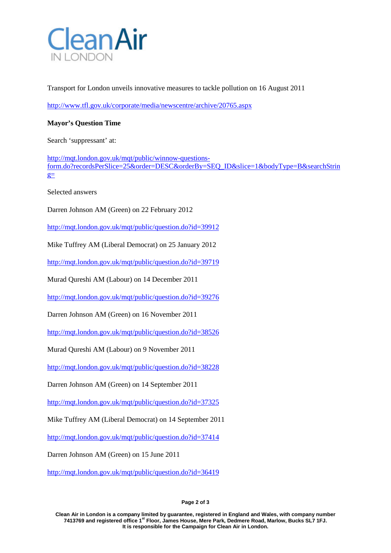

Transport for London unveils innovative measures to tackle pollution on 16 August 2011

<http://www.tfl.gov.uk/corporate/media/newscentre/archive/20765.aspx>

## **Mayor's Question Time**

Search 'suppressant' at:

[http://mqt.london.gov.uk/mqt/public/winnow-questions](http://mqt.london.gov.uk/mqt/public/winnow-questions-form.do?recordsPerSlice=25&order=DESC&orderBy=SEQ_ID&slice=1&bodyType=B&searchString=)[form.do?recordsPerSlice=25&order=DESC&orderBy=SEQ\\_ID&slice=1&bodyType=B&searchStrin](http://mqt.london.gov.uk/mqt/public/winnow-questions-form.do?recordsPerSlice=25&order=DESC&orderBy=SEQ_ID&slice=1&bodyType=B&searchString=)  $g=$ 

Selected answers

Darren Johnson AM (Green) on 22 February 2012

<http://mqt.london.gov.uk/mqt/public/question.do?id=39912>

Mike Tuffrey AM (Liberal Democrat) on 25 January 2012

<http://mqt.london.gov.uk/mqt/public/question.do?id=39719>

Murad Qureshi AM (Labour) on 14 December 2011

<http://mqt.london.gov.uk/mqt/public/question.do?id=39276>

Darren Johnson AM (Green) on 16 November 2011

<http://mqt.london.gov.uk/mqt/public/question.do?id=38526>

Murad Qureshi AM (Labour) on 9 November 2011

<http://mqt.london.gov.uk/mqt/public/question.do?id=38228>

Darren Johnson AM (Green) on 14 September 2011

<http://mqt.london.gov.uk/mqt/public/question.do?id=37325>

Mike Tuffrey AM (Liberal Democrat) on 14 September 2011

<http://mqt.london.gov.uk/mqt/public/question.do?id=37414>

Darren Johnson AM (Green) on 15 June 2011

<http://mqt.london.gov.uk/mqt/public/question.do?id=36419>